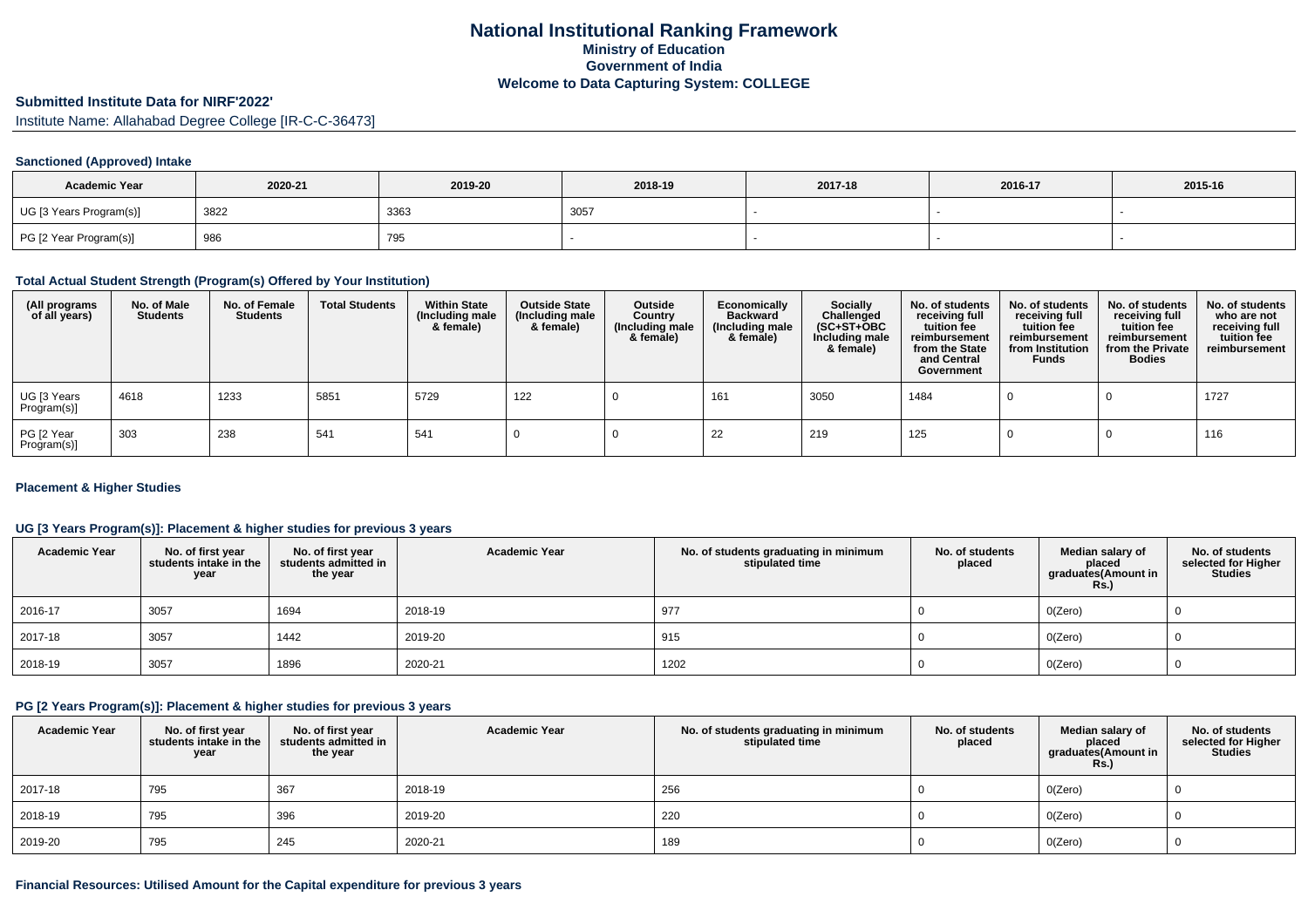#### **Submitted Institute Data for NIRF'2022'**

Institute Name: Allahabad Degree College [IR-C-C-36473]

#### **Sanctioned (Approved) Intake**

| <b>Academic Year</b>    | 2020-21 | 2019-20 | 2018-19 | 2017-18 | 2016-17 | 2015-16 |
|-------------------------|---------|---------|---------|---------|---------|---------|
| UG [3 Years Program(s)] | 3822    | 3363    | 3057    |         |         |         |
| PG [2 Year Program(s)]  | 986     | 795     |         |         |         |         |

#### **Total Actual Student Strength (Program(s) Offered by Your Institution)**

| (All programs<br>of all years) | No. of Male<br><b>Students</b> | No. of Female<br><b>Students</b> | <b>Total Students</b> | <b>Within State</b><br>(Including male<br>& female) | <b>Outside State</b><br>(Including male<br>& female) | Outside<br>Country<br>(Including male<br>& female) | Economically<br><b>Backward</b><br>(Including male<br>& female) | <b>Socially</b><br>Challenged<br>$(SC+ST+OBC)$<br>Including male<br>& female) | No. of students<br>receiving full<br>tuition fee<br>reimbursement<br>from the State<br>and Central<br>Government | No. of students<br>receiving full<br>tuition fee<br>reimbursement<br>from Institution<br><b>Funds</b> | No. of students<br>receiving full<br>tuition fee<br>reimbursement<br>from the Private<br><b>Bodies</b> | No. of students<br>who are not<br>receiving full<br>tuition fee<br>reimbursement |
|--------------------------------|--------------------------------|----------------------------------|-----------------------|-----------------------------------------------------|------------------------------------------------------|----------------------------------------------------|-----------------------------------------------------------------|-------------------------------------------------------------------------------|------------------------------------------------------------------------------------------------------------------|-------------------------------------------------------------------------------------------------------|--------------------------------------------------------------------------------------------------------|----------------------------------------------------------------------------------|
| UG [3 Years<br>Program(s)]     | 4618                           | 1233                             | 5851                  | 5729                                                | 122                                                  |                                                    | 161                                                             | 3050                                                                          | 1484                                                                                                             |                                                                                                       |                                                                                                        | 1727                                                                             |
| PG [2 Year<br>Program(s)]      | 303                            | 238                              | 541                   | 541                                                 |                                                      |                                                    | 22                                                              | 219                                                                           | 125                                                                                                              |                                                                                                       |                                                                                                        | 116                                                                              |

#### **Placement & Higher Studies**

## **UG [3 Years Program(s)]: Placement & higher studies for previous 3 years**

| <b>Academic Year</b> | No. of first year<br>students intake in the<br>year | No. of first year<br>students admitted in<br>the year | <b>Academic Year</b> | No. of students graduating in minimum<br>stipulated time | No. of students<br>placed | Median salary of<br>placed<br>graduates(Amount in<br><b>Rs.)</b> | No. of students<br>selected for Higher<br><b>Studies</b> |
|----------------------|-----------------------------------------------------|-------------------------------------------------------|----------------------|----------------------------------------------------------|---------------------------|------------------------------------------------------------------|----------------------------------------------------------|
| 2016-17              | 3057                                                | 1694                                                  | 2018-19              | 977                                                      |                           | O(Zero)                                                          |                                                          |
| 2017-18              | 3057                                                | 1442                                                  | 2019-20              | 915                                                      |                           | O(Zero)                                                          |                                                          |
| 2018-19              | 3057                                                | 1896                                                  | 2020-21              | 1202                                                     |                           | O(Zero)                                                          |                                                          |

## **PG [2 Years Program(s)]: Placement & higher studies for previous 3 years**

| <b>Academic Year</b> | No. of first year<br>students intake in the<br>year | No. of first year<br>students admitted in<br>the year | <b>Academic Year</b> | No. of students graduating in minimum<br>stipulated time | No. of students<br>placed | Median salary of<br>placed<br>graduates(Amount in<br><b>Rs.)</b> | No. of students<br>selected for Higher<br><b>Studies</b> |
|----------------------|-----------------------------------------------------|-------------------------------------------------------|----------------------|----------------------------------------------------------|---------------------------|------------------------------------------------------------------|----------------------------------------------------------|
| 2017-18              | 795                                                 | 367                                                   | 2018-19              | 256                                                      |                           | O(Zero)                                                          |                                                          |
| 2018-19              | 795                                                 | 396                                                   | 2019-20              | 220                                                      |                           | O(Zero)                                                          |                                                          |
| 2019-20              | 795                                                 | 245                                                   | 2020-21              | 189                                                      |                           | O(Zero)                                                          |                                                          |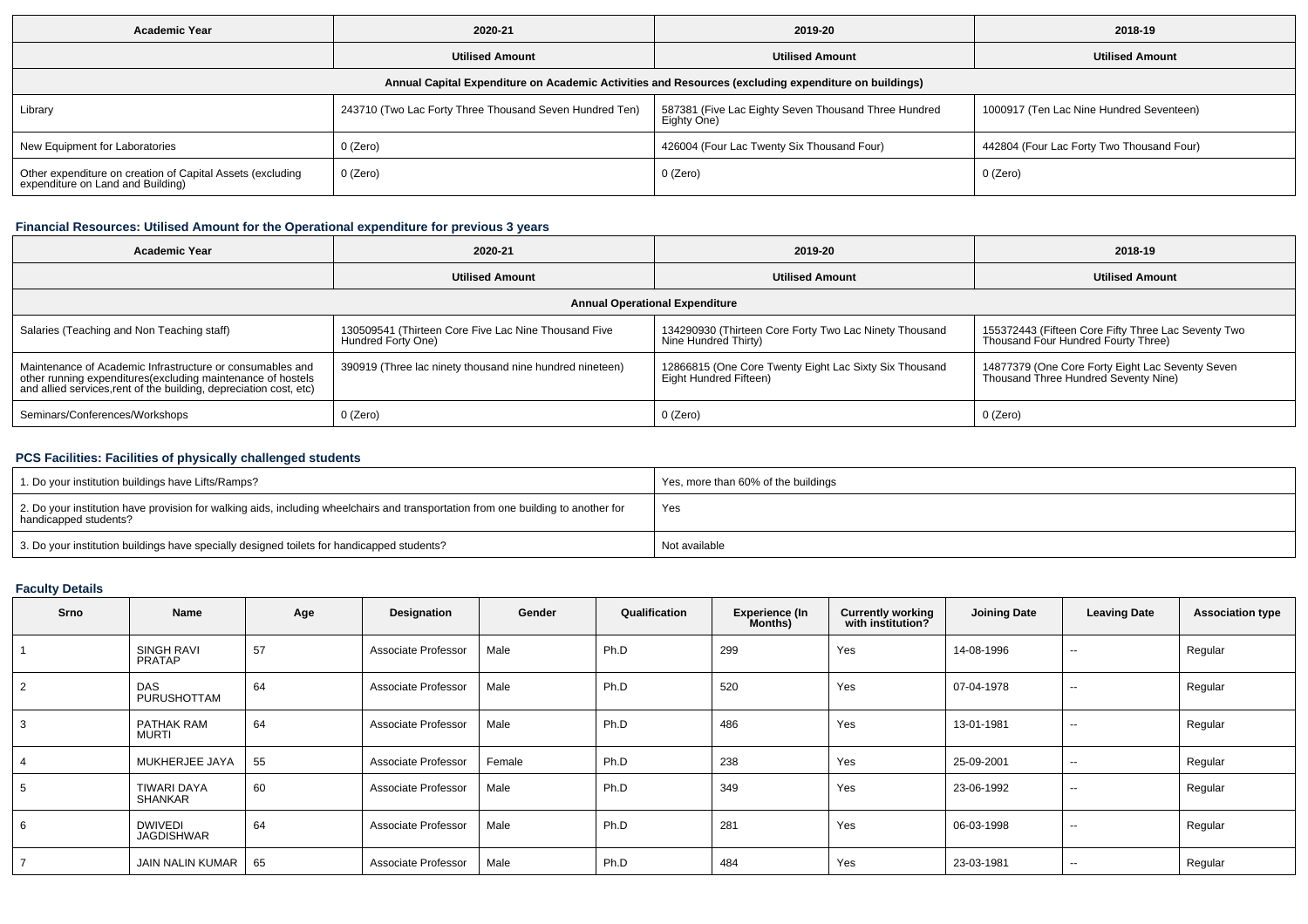| <b>Academic Year</b>                                                                                 | 2020-21                                                 | 2019-20                                                             | 2018-19                                   |  |  |  |  |  |  |  |
|------------------------------------------------------------------------------------------------------|---------------------------------------------------------|---------------------------------------------------------------------|-------------------------------------------|--|--|--|--|--|--|--|
|                                                                                                      | <b>Utilised Amount</b>                                  | <b>Utilised Amount</b>                                              | <b>Utilised Amount</b>                    |  |  |  |  |  |  |  |
| Annual Capital Expenditure on Academic Activities and Resources (excluding expenditure on buildings) |                                                         |                                                                     |                                           |  |  |  |  |  |  |  |
| Library                                                                                              | 243710 (Two Lac Forty Three Thousand Seven Hundred Ten) | 587381 (Five Lac Eighty Seven Thousand Three Hundred<br>Eighty One) | 1000917 (Ten Lac Nine Hundred Seventeen)  |  |  |  |  |  |  |  |
| New Equipment for Laboratories                                                                       | 0 (Zero)                                                | 426004 (Four Lac Twenty Six Thousand Four)                          | 442804 (Four Lac Forty Two Thousand Four) |  |  |  |  |  |  |  |
| Other expenditure on creation of Capital Assets (excluding<br>expenditure on Land and Building)      | 0 (Zero)                                                | 0 (Zero)                                                            | 0 (Zero)                                  |  |  |  |  |  |  |  |

# **Financial Resources: Utilised Amount for the Operational expenditure for previous 3 years**

| <b>Academic Year</b>                                                                                                                                                                            | 2020-21                                                                    | 2019-20                                                                          | 2018-19                                                                                    |  |  |  |  |  |  |
|-------------------------------------------------------------------------------------------------------------------------------------------------------------------------------------------------|----------------------------------------------------------------------------|----------------------------------------------------------------------------------|--------------------------------------------------------------------------------------------|--|--|--|--|--|--|
|                                                                                                                                                                                                 | <b>Utilised Amount</b>                                                     | <b>Utilised Amount</b>                                                           | <b>Utilised Amount</b>                                                                     |  |  |  |  |  |  |
| <b>Annual Operational Expenditure</b>                                                                                                                                                           |                                                                            |                                                                                  |                                                                                            |  |  |  |  |  |  |
| Salaries (Teaching and Non Teaching staff)                                                                                                                                                      | 130509541 (Thirteen Core Five Lac Nine Thousand Five<br>Hundred Forty One) | 134290930 (Thirteen Core Forty Two Lac Ninety Thousand<br>Nine Hundred Thirty)   | 155372443 (Fifteen Core Fifty Three Lac Seventy Two<br>Thousand Four Hundred Fourty Three) |  |  |  |  |  |  |
| Maintenance of Academic Infrastructure or consumables and<br>other running expenditures (excluding maintenance of hostels<br>and allied services, rent of the building, depreciation cost, etc) | 390919 (Three lac ninety thousand nine hundred nineteen)                   | 12866815 (One Core Twenty Eight Lac Sixty Six Thousand<br>Eight Hundred Fifteen) | 14877379 (One Core Forty Eight Lac Seventy Seven<br>Thousand Three Hundred Seventy Nine)   |  |  |  |  |  |  |
| Seminars/Conferences/Workshops                                                                                                                                                                  | 0 (Zero)                                                                   | 0 (Zero)                                                                         | 0 (Zero)                                                                                   |  |  |  |  |  |  |

## **PCS Facilities: Facilities of physically challenged students**

| 1. Do your institution buildings have Lifts/Ramps?                                                                                                         | Yes, more than 60% of the buildings |
|------------------------------------------------------------------------------------------------------------------------------------------------------------|-------------------------------------|
| 2. Do your institution have provision for walking aids, including wheelchairs and transportation from one building to another for<br>handicapped students? | Yes                                 |
| 3. Do your institution buildings have specially designed toilets for handicapped students?                                                                 | Not available                       |

# **Faculty Details**

| Srno | Name                                | Age | Designation         | Gender | Qualification | <b>Experience (In</b><br>Months) | <b>Currently working</b><br>with institution? | <b>Joining Date</b> | <b>Leaving Date</b>      | <b>Association type</b> |
|------|-------------------------------------|-----|---------------------|--------|---------------|----------------------------------|-----------------------------------------------|---------------------|--------------------------|-------------------------|
|      | <b>SINGH RAVI</b><br>PRATAP         | 57  | Associate Professor | Male   | Ph.D          | 299                              | Yes                                           | 14-08-1996          | $\overline{\phantom{a}}$ | Regular                 |
| 2    | <b>DAS</b><br>PURUSHOTTAM           | 64  | Associate Professor | Male   | Ph.D          | 520                              | Yes                                           | 07-04-1978          | $\overline{\phantom{a}}$ | Regular                 |
| 3    | PATHAK RAM<br><b>MURTI</b>          | 64  | Associate Professor | Male   | Ph.D          | 486                              | Yes                                           | 13-01-1981          | $\overline{\phantom{a}}$ | Regular                 |
|      | MUKHERJEE JAYA                      | 55  | Associate Professor | Female | Ph.D          | 238                              | Yes                                           | 25-09-2001          | $\sim$                   | Regular                 |
|      | TIWARI DAYA<br><b>SHANKAR</b>       | 60  | Associate Professor | Male   | Ph.D          | 349                              | Yes                                           | 23-06-1992          | $\sim$                   | Regular                 |
| 6    | <b>DWIVEDI</b><br><b>JAGDISHWAR</b> | 64  | Associate Professor | Male   | Ph.D          | 281                              | Yes                                           | 06-03-1998          | $\overline{\phantom{a}}$ | Regular                 |
|      | JAIN NALIN KUMAR                    | 65  | Associate Professor | Male   | Ph.D          | 484                              | Yes                                           | 23-03-1981          | $\sim$                   | Regular                 |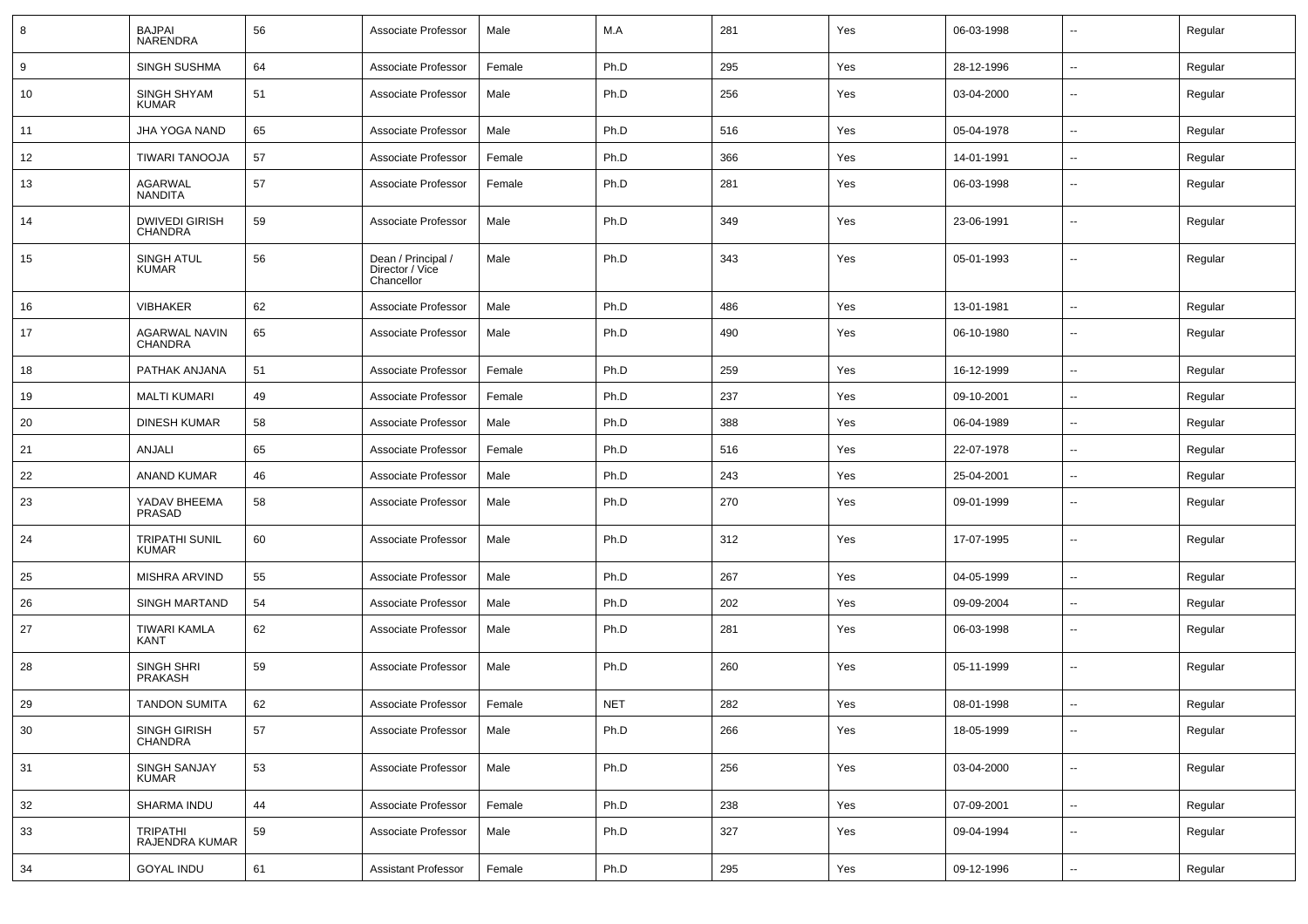| 8  | <b>BAJPAI</b><br><b>NARENDRA</b>        | 56 | Associate Professor                                 | Male   | M.A        | 281 | Yes | 06-03-1998 | --                       | Regular |
|----|-----------------------------------------|----|-----------------------------------------------------|--------|------------|-----|-----|------------|--------------------------|---------|
| 9  | <b>SINGH SUSHMA</b>                     | 64 | Associate Professor                                 | Female | Ph.D       | 295 | Yes | 28-12-1996 | $\sim$                   | Regular |
| 10 | SINGH SHYAM<br><b>KUMAR</b>             | 51 | Associate Professor                                 | Male   | Ph.D       | 256 | Yes | 03-04-2000 | --                       | Regular |
| 11 | JHA YOGA NAND                           | 65 | Associate Professor                                 | Male   | Ph.D       | 516 | Yes | 05-04-1978 | $\overline{a}$           | Regular |
| 12 | TIWARI TANOOJA                          | 57 | Associate Professor                                 | Female | Ph.D       | 366 | Yes | 14-01-1991 | $\overline{\phantom{a}}$ | Regular |
| 13 | AGARWAL<br><b>NANDITA</b>               | 57 | Associate Professor                                 | Female | Ph.D       | 281 | Yes | 06-03-1998 | --                       | Regular |
| 14 | <b>DWIVEDI GIRISH</b><br><b>CHANDRA</b> | 59 | Associate Professor                                 | Male   | Ph.D       | 349 | Yes | 23-06-1991 | --                       | Regular |
| 15 | <b>SINGH ATUL</b><br><b>KUMAR</b>       | 56 | Dean / Principal /<br>Director / Vice<br>Chancellor | Male   | Ph.D       | 343 | Yes | 05-01-1993 | --                       | Regular |
| 16 | <b>VIBHAKER</b>                         | 62 | Associate Professor                                 | Male   | Ph.D       | 486 | Yes | 13-01-1981 | $\overline{\phantom{a}}$ | Regular |
| 17 | <b>AGARWAL NAVIN</b><br><b>CHANDRA</b>  | 65 | Associate Professor                                 | Male   | Ph.D       | 490 | Yes | 06-10-1980 | --                       | Regular |
| 18 | PATHAK ANJANA                           | 51 | Associate Professor                                 | Female | Ph.D       | 259 | Yes | 16-12-1999 | $\overline{\phantom{a}}$ | Regular |
| 19 | <b>MALTI KUMARI</b>                     | 49 | Associate Professor                                 | Female | Ph.D       | 237 | Yes | 09-10-2001 | $\sim$                   | Regular |
| 20 | <b>DINESH KUMAR</b>                     | 58 | Associate Professor                                 | Male   | Ph.D       | 388 | Yes | 06-04-1989 | $\sim$                   | Regular |
| 21 | ANJALI                                  | 65 | Associate Professor                                 | Female | Ph.D       | 516 | Yes | 22-07-1978 | $\sim$                   | Regular |
| 22 | <b>ANAND KUMAR</b>                      | 46 | Associate Professor                                 | Male   | Ph.D       | 243 | Yes | 25-04-2001 | $\overline{a}$           | Regular |
| 23 | YADAV BHEEMA<br>PRASAD                  | 58 | Associate Professor                                 | Male   | Ph.D       | 270 | Yes | 09-01-1999 | --                       | Regular |
| 24 | <b>TRIPATHI SUNIL</b><br><b>KUMAR</b>   | 60 | Associate Professor                                 | Male   | Ph.D       | 312 | Yes | 17-07-1995 | --                       | Regular |
| 25 | <b>MISHRA ARVIND</b>                    | 55 | Associate Professor                                 | Male   | Ph.D       | 267 | Yes | 04-05-1999 | --                       | Regular |
| 26 | <b>SINGH MARTAND</b>                    | 54 | Associate Professor                                 | Male   | Ph.D       | 202 | Yes | 09-09-2004 | --                       | Regular |
| 27 | TIWARI KAMLA<br><b>KANT</b>             | 62 | Associate Professor                                 | Male   | Ph.D       | 281 | Yes | 06-03-1998 | Ξ.                       | Regular |
| 28 | SINGH SHRI<br><b>PRAKASH</b>            | 59 | Associate Professor                                 | Male   | Ph.D       | 260 | Yes | 05-11-1999 | $\sim$                   | Regular |
| 29 | <b>TANDON SUMITA</b>                    | 62 | Associate Professor                                 | Female | <b>NET</b> | 282 | Yes | 08-01-1998 |                          | Regular |
| 30 | SINGH GIRISH<br><b>CHANDRA</b>          | 57 | Associate Professor                                 | Male   | Ph.D       | 266 | Yes | 18-05-1999 | $\overline{\phantom{a}}$ | Regular |
| 31 | SINGH SANJAY<br><b>KUMAR</b>            | 53 | Associate Professor                                 | Male   | Ph.D       | 256 | Yes | 03-04-2000 | $\overline{\phantom{a}}$ | Regular |
| 32 | SHARMA INDU                             | 44 | Associate Professor                                 | Female | Ph.D       | 238 | Yes | 07-09-2001 | $\sim$                   | Regular |
| 33 | <b>TRIPATHI</b><br>RAJENDRA KUMAR       | 59 | Associate Professor                                 | Male   | Ph.D       | 327 | Yes | 09-04-1994 | $\overline{\phantom{a}}$ | Regular |
| 34 | <b>GOYAL INDU</b>                       | 61 | <b>Assistant Professor</b>                          | Female | Ph.D       | 295 | Yes | 09-12-1996 | $\sim$                   | Regular |